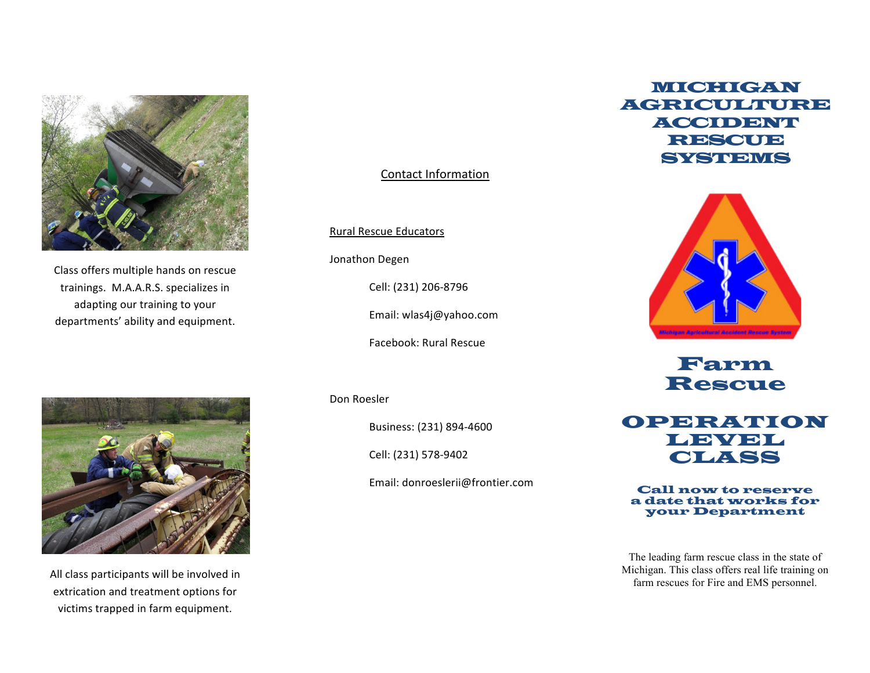

Class offers multiple hands on rescue trainings. M.A.A.R.S. specializes in adapting our training to your departments' ability and equipment.

# Contact Information

Rural Rescue Educators

Jonathon Degen

Cell: (231) 206-8796

Email: wlas4j@yahoo.com

Facebook: Rural Rescue

Don Roesler

Business: (231) 894-4600

Cell: (231) 578-9402

Email: donroeslerii@frontier.com

# MICHIGAN **AGRICULTURE** ACCIDENT **RESCUE** SYSTEMS



Farm Rescue



Call now to reserve a date that works for your Department

The leading farm rescue class in the state of Michigan. This class offers real life training on farm rescues for Fire and EMS personnel.



All class participants will be involved in extrication and treatment options for victims trapped in farm equipment.